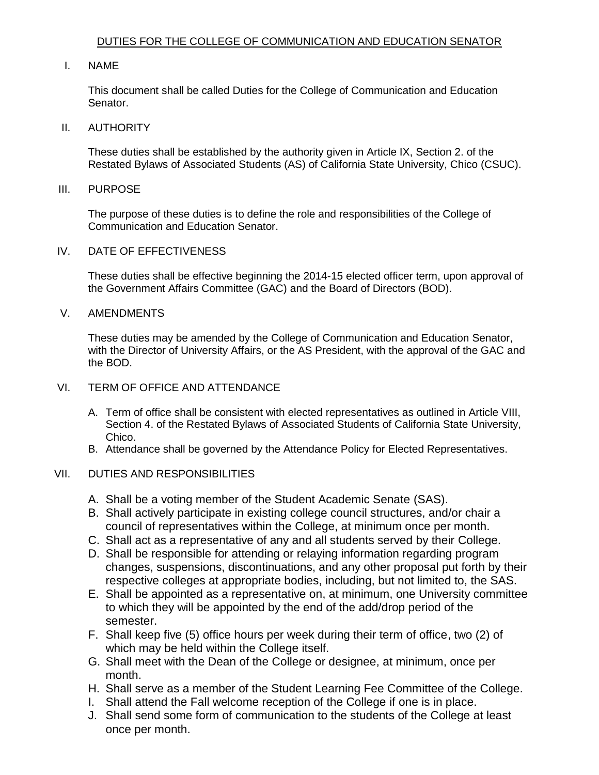## I. NAME

 This document shall be called Duties for the College of Communication and Education Senator.

#### II. AUTHORITY

 These duties shall be established by the authority given in Article IX, Section 2. of the Restated Bylaws of Associated Students (AS) of California State University, Chico (CSUC).

#### III. PURPOSE

 The purpose of these duties is to define the role and responsibilities of the College of Communication and Education Senator.

#### IV. DATE OF EFFECTIVENESS

 These duties shall be effective beginning the 2014-15 elected officer term, upon approval of the Government Affairs Committee (GAC) and the Board of Directors (BOD).

# V. AMENDMENTS

 These duties may be amended by the College of Communication and Education Senator, with the Director of University Affairs, or the AS President, with the approval of the GAC and the BOD.

## VI. TERM OF OFFICE AND ATTENDANCE

- A. Term of office shall be consistent with elected representatives as outlined in Article VIII, Section 4. of the Restated Bylaws of Associated Students of California State University, Chico.
- B. Attendance shall be governed by the Attendance Policy for Elected Representatives.

# VII. DUTIES AND RESPONSIBILITIES

- A. Shall be a voting member of the Student Academic Senate (SAS).
- B. Shall actively participate in existing college council structures, and/or chair a council of representatives within the College, at minimum once per month.
- C. Shall act as a representative of any and all students served by their College.
- D. Shall be responsible for attending or relaying information regarding program changes, suspensions, discontinuations, and any other proposal put forth by their respective colleges at appropriate bodies, including, but not limited to, the SAS.
- to which they will be appointed by the end of the add/drop period of the E. Shall be appointed as a representative on, at minimum, one University committee semester.
- F. Shall keep five (5) office hours per week during their term of office, two (2) of which may be held within the College itself.
- G. Shall meet with the Dean of the College or designee, at minimum, once per month.
- H. Shall serve as a member of the Student Learning Fee Committee of the College.
- I. Shall attend the Fall welcome reception of the College if one is in place.
- J. Shall send some form of communication to the students of the College at least once per month.